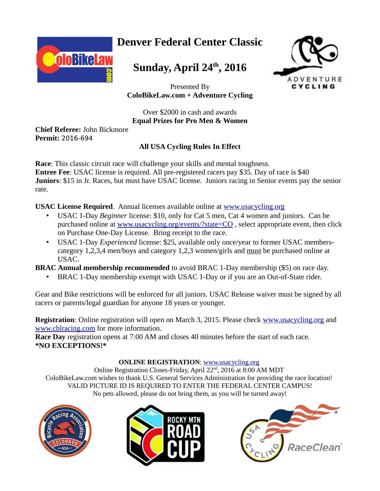

# **Denver Federal Center Classic**

# **Sunday, April 24th, 2016**



Presented By **ColoBikeLaw.com + Adventure Cycling**

### Over \$2000 in cash and awards **Equal Prizes for Pro Men & Women**

**Chief Referee:** John Bickmore **Permit:** 2016-694

### **All USA Cycling Rules In Effect**

**Race**: This classic circuit race will challenge your skills and mental toughness. **Entree Fee**: USAC license is required. All pre-registered racers pay \$35. Day of race is \$40 **Juniors**: \$15 in Jr. Races, but must have USAC license. Juniors racing in Senior events pay the senior rate.

### **USAC License Required**. Annual licenses available online at [www.usacycling.org](http://www.usacycling.org/)

- USAC 1-Day *Beginner* license: \$10, only for Cat 5 men, Cat 4 women and juniors. Can be purchased online at [www.usacycling.org/events/?state=CO](http://www.usacycling.org/events/?state=CO) , select appropriate event, then click on Purchase One-Day License. Bring receipt to the race.
- USAC 1-Day *Experienced* license: \$25, available only once/year to former USAC memberscategory 1,2,3,4 men/boys and category 1,2,3 women/girls and must be purchased online at USAC.

**BRAC Annual membership recommended** to avoid BRAC 1-Day membership (\$5) on race day.

• BRAC 1-Day membership exempt with USAC 1-Day or if you are an Out-of-State rider.

Gear and Bike restrictions will be enforced for all juniors. USAC Release waiver must be signed by all racers or parents/legal guardian for anyone 18 years or younger.

**Registration**: Online registration will open on March 3, 2015. Please check [www.usacycling.org](http://www.usacycling.org/) and [www.cblracing.com](http://www.cblracing.com/) for more information.

**Race Day** registration opens at 7:00 AM and closes 40 minutes before the start of each race. **\*NO EXCEPTIONS!\***

#### **ONLINE REGISTRATION**: [www.usacycling.org](https://www.usacycling.org/events/state_search.php?state=CO&noncomp=0&race=Road&discipline=&fyear=&rrfilter=all)

Online Registration Closes-Friday, April 22<sup>nd</sup>, 2016 at 8:00 AM MDT ColoBikeLaw.com wishes to thank U.S. General Services Administration for providing the race location! VALID PICTURE ID IS REQUIRED TO ENTER THE FEDERAL CENTER CAMPUS! No pets allowed, please do not bring them, as you will be turned away!





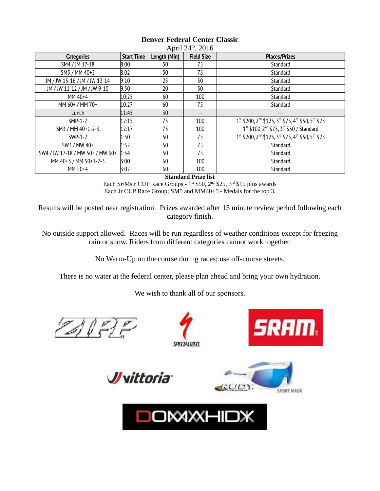| <b>Categories</b>                | <b>Start Time</b> | Length (Min) | <b>Field Size</b> | <b>Places/Prizes</b>                                                                               |
|----------------------------------|-------------------|--------------|-------------------|----------------------------------------------------------------------------------------------------|
| SM4 / JM 17-18                   | 8:00              | 50           | 75                | Standard                                                                                           |
| SM5 / MM 40+5                    | 8:02              | 50           | 75                | Standard                                                                                           |
| JM / JW 15-16 / JM / JW 13-14    | 9:10              | 25           | 50                | Standard                                                                                           |
| JM / JW 11-12 / JM / JW 9-10     | 9:50              | 20           | 50                | Standard                                                                                           |
| $MM40+4$                         | 10:25             | 60           | 100               | Standard                                                                                           |
| MM 60+ / MM 70+                  | 10:27             | 60           | 75                | Standard                                                                                           |
| Lunch                            | 11:45             | 30           | ---               |                                                                                                    |
| $SMP-1-2$                        | 12:15             | 75           | 100               | 1st \$200, 2 <sup>nd</sup> \$125, 3 <sup>rd</sup> \$75, 4 <sup>th</sup> \$50, 5 <sup>th</sup> \$25 |
| SM3 / MM 40+1-2-3                | 12:17             | 75           | 100               | 1st \$100, 2 <sup>nd</sup> \$75, 3 <sup>rd</sup> \$50 / Standard                                   |
| SWP-1-2                          | 1:50              | 50           | 75                | 1st \$200, 2 <sup>nd</sup> \$125, 3 <sup>rd</sup> \$75, 4 <sup>th</sup> \$50, 5 <sup>th</sup> \$25 |
| SW3 / MW 40+                     | 1:52              | 50           | 75                | Standard                                                                                           |
| SW4 / JW 17-18 / MW 50+ / MW 60+ | 1:54              | 50           | 75                | Standard                                                                                           |
| MM 40+3 / MM 50+1-2-3            | 3:00              | 60           | 100               | Standard                                                                                           |
| MM 50+4                          | 3:02              | 60           | 100               | Standard                                                                                           |

#### **Denver Federal Center Classic**  $\Lambda$ pril 24<sup>th</sup>, 2016

**Standard Prize list**

Each Sr/Mstr CUP Race Groups - 1<sup>st</sup> \$50, 2<sup>nd</sup> \$25, 3<sup>rd</sup> \$15 plus awards Each Jr CUP Race Group; SM5 and MM40+5 - Medals for the top 3.

Results will be posted near registration. Prizes awarded after 15 minute review period following each category finish.

No outside support allowed. Races will be run regardless of weather conditions except for freezing rain or snow. Riders from different categories cannot work together.

No Warm-Up on the course during races; use off-course streets.

There is no water at the federal center, please plan ahead and bring your own hydration.

We wish to thank all of our sponsors.

ZAVELE



**DOMXHIDX**